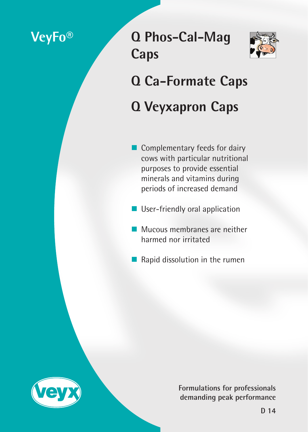# **VeyFo®**

# **Q Phos-Cal-Mag Caps**



# **Q Ca-Formate Caps Q Veyxapron Caps**

- Complementary feeds for dairy cows with particular nutritional purposes to provide essential minerals and vitamins during periods of increased demand
- **User-friendly oral application**
- Mucous membranes are neither harmed nor irritated
- $\blacksquare$  Rapid dissolution in the rumen



**Formulations for professionals demanding peak performance**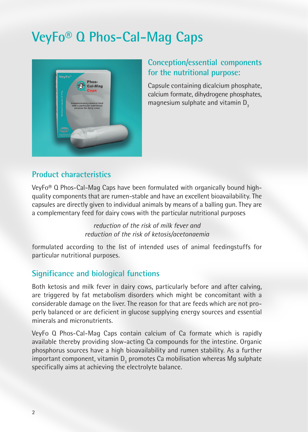# **VeyFo® Q Phos-Cal-Mag Caps**



# **Conception/essential components for the nutritional purpose:**

Capsule containing dicalcium phosphate, calcium formate, dihydrogene phosphates, magnesium sulphate and vitamin D<sub>3</sub>

### **Product characteristics**

VeyFo® Q Phos-Cal-Mag Caps have been formulated with organically bound highquality components that are rumen-stable and have an excellent bioavailability. The capsules are directly given to individual animals by means of a balling gun. They are a complementary feed for dairy cows with the particular nutritional purposes

> *reduction of the risk of milk fever and reduction of the risk of ketosis/acetonaemia*

formulated according to the list of intended uses of animal feedingstuffs for particular nutritional purposes.

# **Significance and biological functions**

Both ketosis and milk fever in dairy cows, particularly before and after calving, are triggered by fat metabolism disorders which might be concomitant with a considerable damage on the liver. The reason for that are feeds which are not properly balanced or are deficient in glucose supplying energy sources and essential minerals and micronutrients.

VeyFo Q Phos-Cal-Mag Caps contain calcium of Ca formate which is rapidly available thereby providing slow-acting Ca compounds for the intestine. Organic phosphorus sources have a high bioavailability and rumen stability. As a further important component, vitamin  $D_3$  promotes Ca mobilisation whereas Mg sulphate specifically aims at achieving the electrolyte balance.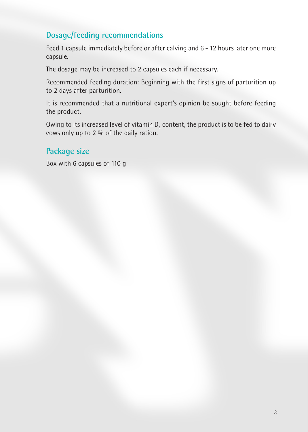# **Dosage/feeding recommendations**

Feed 1 capsule immediately before or after calving and 6 - 12 hours later one more capsule.

The dosage may be increased to 2 capsules each if necessary.

Recommended feeding duration: Beginning with the first signs of parturition up to 2 days after parturition.

It is recommended that a nutritional expert's opinion be sought before feeding the product.

Owing to its increased level of vitamin  $\mathsf{D}_{_{\!3}}$  content, the product is to be fed to dairy cows only up to 2 % of the daily ration.

### **Package size**

Box with 6 capsules of 110 g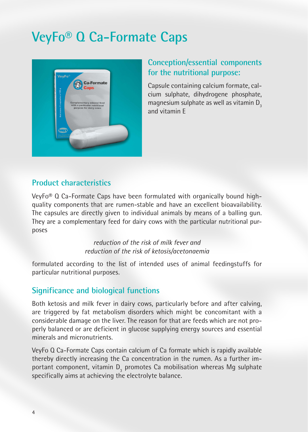# **VeyFo® Q Ca-Formate Caps**



# **Conception/essential components for the nutritional purpose:**

Capsule containing calcium formate, calcium sulphate, dihydrogene phosphate, magnesium sulphate as well as vitamin  $D<sub>3</sub>$ and vitamin E

#### **Product characteristics**

VeyFo® Q Ca-Formate Caps have been formulated with organically bound highquality components that are rumen-stable and have an excellent bioavailability. The capsules are directly given to individual animals by means of a balling gun. They are a complementary feed for dairy cows with the particular nutritional purposes

> *reduction of the risk of milk fever and reduction of the risk of ketosis/acetonaemia*

formulated according to the list of intended uses of animal feedingstuffs for particular nutritional purposes.

#### **Significance and biological functions**

Both ketosis and milk fever in dairy cows, particularly before and after calving, are triggered by fat metabolism disorders which might be concomitant with a considerable damage on the liver. The reason for that are feeds which are not properly balanced or are deficient in glucose supplying energy sources and essential minerals and micronutrients.

VeyFo Q Ca-Formate Caps contain calcium of Ca formate which is rapidly available thereby directly increasing the Ca concentration in the rumen. As a further important component, vitamin  $D_3$  promotes Ca mobilisation whereas Mg sulphate specifically aims at achieving the electrolyte balance.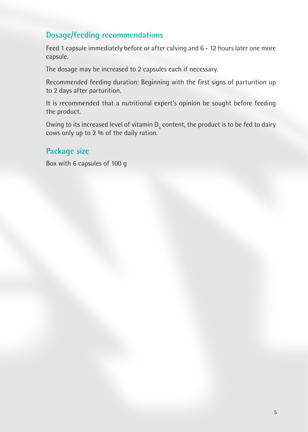# **Dosage/feeding recommendations**

Feed 1 capsule immediately before or after calving and 6 - 12 hours later one more capsule.

The dosage may be increased to 2 capsules each if necessary.

Recommended feeding duration: Beginning with the first signs of parturition up to 2 days after parturition.

It is recommended that a nutritional expert's opinion be sought before feeding the product.

Owing to its increased level of vitamin  $\mathsf{D}_{_{\!3}}$  content, the product is to be fed to dairy cows only up to 2 % of the daily ration.

### **Package size**

Box with 6 capsules of 100 g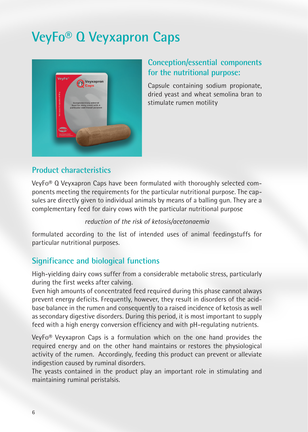# **VeyFo® Q Veyxapron Caps**



# **Conception/essential components for the nutritional purpose:**

Capsule containing sodium propionate, dried yeast and wheat semolina bran to stimulate rumen motility

### **Product characteristics**

VeyFo® Q Veyxapron Caps have been formulated with thoroughly selected components meeting the requirements for the particular nutritional purpose. The capsules are directly given to individual animals by means of a balling gun. They are a complementary feed for dairy cows with the particular nutritional purpose

#### *reduction of the risk of ketosis/acetonaemia*

formulated according to the list of intended uses of animal feedingstuffs for particular nutritional purposes.

# **Significance and biological functions**

High-yielding dairy cows suffer from a considerable metabolic stress, particularly during the first weeks after calving.

Even high amounts of concentrated feed required during this phase cannot always prevent energy deficits. Frequently, however, they result in disorders of the acidbase balance in the rumen and consequently to a raised incidence of ketosis as well as secondary digestive disorders. During this period, it is most important to supply feed with a high energy conversion efficiency and with pH-regulating nutrients.

VeyFo® Veyxapron Caps is a formulation which on the one hand provides the required energy and on the other hand maintains or restores the physiological activity of the rumen. Accordingly, feeding this product can prevent or alleviate indigestion caused by ruminal disorders.

The yeasts contained in the product play an important role in stimulating and maintaining ruminal peristalsis.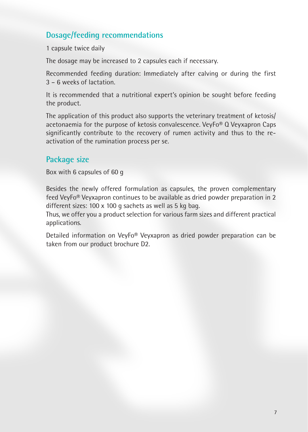# **Dosage/feeding recommendations**

1 capsule twice daily

The dosage may be increased to 2 capsules each if necessary.

Recommended feeding duration: Immediately after calving or during the first 3 – 6 weeks of lactation.

It is recommended that a nutritional expert's opinion be sought before feeding the product.

The application of this product also supports the veterinary treatment of ketosis/ acetonaemia for the purpose of ketosis convalescence. VeyFo<sup>®</sup> Q Veyxapron Caps significantly contribute to the recovery of rumen activity and thus to the reactivation of the rumination process per se.

#### **Package size**

Box with 6 capsules of 60 g

Besides the newly offered formulation as capsules, the proven complementary feed VeyFo® Veyxapron continues to be available as dried powder preparation in 2 different sizes: 100 x 100 g sachets as well as 5 kg bag.

Thus, we offer you a product selection for various farm sizes and different practical applications.

Detailed information on VeyFo® Veyxapron as dried powder preparation can be taken from our product brochure D2.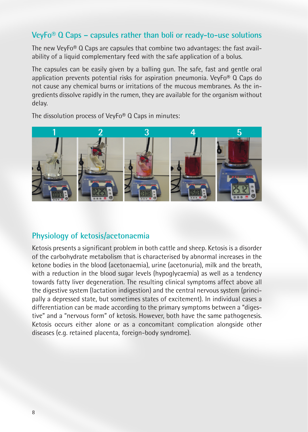#### **VeyFo® Q Caps – capsules rather than boli or ready-to-use solutions**

The new VeyFo® Q Caps are capsules that combine two advantages: the fast availability of a liquid complementary feed with the safe application of a bolus.

The capsules can be easily given by a balling gun. The safe, fast and gentle oral application prevents potential risks for aspiration pneumonia. VeyFo<sup>®</sup> Q Caps do not cause any chemical burns or irritations of the mucous membranes. As the ingredients dissolve rapidly in the rumen, they are available for the organism without delay.

The dissolution process of VeyFo® Q Caps in minutes:



#### **Physiology of ketosis/acetonaemia**

Ketosis presents a significant problem in both cattle and sheep. Ketosis is a disorder of the carbohydrate metabolism that is characterised by abnormal increases in the ketone bodies in the blood (acetonaemia), urine (acetonuria), milk and the breath, with a reduction in the blood sugar levels (hypoglycaemia) as well as a tendency towards fatty liver degeneration. The resulting clinical symptoms affect above all the digestive system (lactation indigestion) and the central nervous system (principally a depressed state, but sometimes states of excitement). In individual cases a differentiation can be made according to the primary symptoms between a "digestive" and a "nervous form" of ketosis. However, both have the same pathogenesis. Ketosis occurs either alone or as a concomitant complication alongside other diseases (e.g. retained placenta, foreign-body syndrome).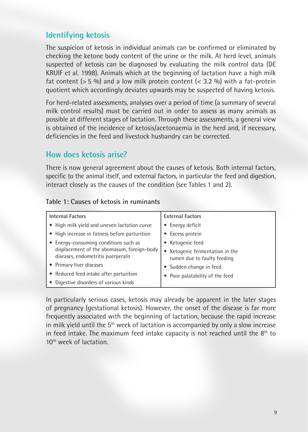#### **Identifying ketosis**

The suspicion of ketosis in individual animals can be confirmed or eliminated by checking the ketone body content of the urine or the milk. At herd level, animals suspected of ketosis can be diagnosed by evaluating the milk control data (DE KRUIF et al. 1998). Animals which at the beginning of lactation have a high milk fat content ( $> 5\%$ ) and a low milk protein content ( $< 3.2\%$ ) with a fat-protein quotient which accordingly deviates upwards may be suspected of having ketosis.

For herd-related assessments, analyses over a period of time (a summary of several milk control results) must be carried out in order to assess as many animals as possible at different stages of lactation. Through these assessments, a general view is obtained of the incidence of ketosis/acetonaemia in the herd and, if necessary, deficiencies in the feed and livestock husbandry can be corrected.

#### **How does ketosis arise?**

There is now general agreement about the causes of ketosis. Both internal factors, specific to the animal itself, and external factors, in particular the feed and digestion, interact closely as the causes of the condition (see Tables 1 and 2).

#### **Table 1: Causes of ketosis in ruminants**

| <b>Internal Factors</b>                                                          | <b>External Factors</b>                                      |
|----------------------------------------------------------------------------------|--------------------------------------------------------------|
| • High milk yield and uneven lactation curve                                     | Energy deficit                                               |
| • High increase in fatness before parturition                                    | • Excess protein                                             |
| • Energy-consuming conditions such as                                            | Ketogenic feed                                               |
| displacement of the abomasum, foreign-body<br>diseases, endometritis puerperalis | Ketogenic fermentation in the<br>rumen due to faulty feeding |
| • Primary liver diseases                                                         | Sudden change in feed                                        |
| • Reduced feed intake after parturition                                          | Poor palatability of the feed                                |
| • Digestive disorders of various kinds                                           |                                                              |

In particularly serious cases, ketosis may already be apparent in the later stages of pregnancy (gestational ketosis). However, the onset of the disease is far more frequently associated with the beginning of lactation, because the rapid increase in milk yield until the  $5<sup>th</sup>$  week of lactation is accompanied by only a slow increase in feed intake. The maximum feed intake capacity is not reached until the  $8<sup>th</sup>$  to 10th week of lactation.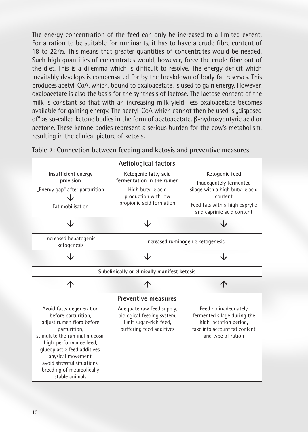The energy concentration of the feed can only be increased to a limited extent. For a ration to be suitable for ruminants, it has to have a crude fibre content of 18 to 22 %. This means that greater quantities of concentrates would be needed. Such high quantities of concentrates would, however, force the crude fibre out of the diet. This is a dilemma which is difficult to resolve. The energy deficit which inevitably develops is compensated for by the breakdown of body fat reserves. This produces acetyl-CoA, which, bound to oxaloacetate, is used to gain energy. However, oxaloacetate is also the basis for the synthesis of lactose. The lactose content of the milk is constant so that with an increasing milk yield, less oxaloacetate becomes available for gaining energy. The acetyl-CoA which cannot then be used is "disposed of" as so-called ketone bodies in the form of acetoacetate, β-hydroxybutyric acid or acetone. These ketone bodies represent a serious burden for the cow's metabolism, resulting in the clinical picture of ketosis.



**Table 2: Connection between feeding and ketosis and preventive measures**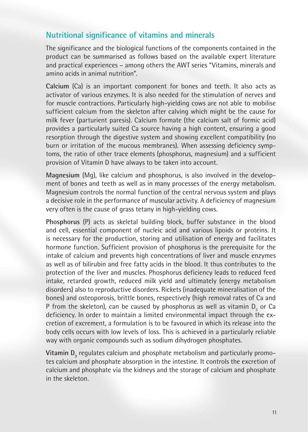#### **Nutritional significance of vitamins and minerals**

The significance and the biological functions of the components contained in the product can be summarised as follows based on the available expert literature and practical experiences – among others the AWT series "Vitamins, minerals and amino acids in animal nutrition".

**Calcium** (Ca) is an important component for bones and teeth. It also acts as activator of various enzymes. It is also needed for the stimulation of nerves and for muscle contractions. Particularly high-yielding cows are not able to mobilise sufficient calcium from the skeleton after calving which might be the cause for milk fever (parturient paresis). Calcium formate (the calcium salt of formic acid) provides a particularly suited Ca source having a high content, ensuring a good resorption through the digestive system and showing excellent compatibility (no burn or irritation of the mucous membranes). When assessing deficiency symptoms, the ratio of other trace elements (phosphorus, magnesium) and a sufficient provision of Vitamin D have always to be taken into account.

**Magnesium** (Mg), like calcium and phosphorus, is also involved in the development of bones and teeth as well as in many processes of the energy metabolism. Magnesium controls the normal function of the central nervous system and plays a decisive role in the performance of muscular activity. A deficiency of magnesium very often is the cause of grass tetany in high-yielding cows.

**Phosphorus** (P) acts as skeletal building block, buffer substance in the blood and cell, essential component of nucleic acid and various lipoids or proteins. It is necessary for the production, storing and utilisation of energy and facilitates hormone function. Sufficient provision of phosphorus is the prerequisite for the intake of calcium and prevents high concentrations of liver and muscle enzymes as well as of bilirubin and free fatty acids in the blood. It thus contributes to the protection of the liver and muscles. Phosphorus deficiency leads to reduced feed intake, retarded growth, reduced milk yield and ultimately (energy metabolism disorders) also to reproductive disorders. Rickets (inadequate mineralisation of the bones) and osteoporosis, brittle bones, respectively (high removal rates of Ca and P from the skeleton), can be caused by phosphorus as well as vitamin  $D_3$  or Ca deficiency. In order to maintain a limited environmental impact through the excretion of excrement, a formulation is to be favoured in which its release into the body cells occurs with low levels of loss. This is achieved in a particularly reliable way with organic compounds such as sodium dihydrogen phosphates.

**Vitamin D<sub>3</sub> regulates calcium and phosphate metabolism and particularly promo**tes calcium and phosphate absorption in the intestine. It controls the excretion of calcium and phosphate via the kidneys and the storage of calcium and phosphate in the skeleton.